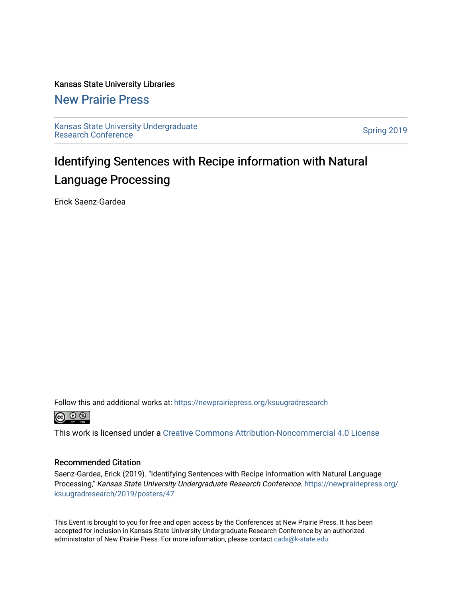### Kansas State University Libraries

### [New Prairie Press](https://newprairiepress.org/)

[Kansas State University Undergraduate](https://newprairiepress.org/ksuugradresearch)  Ransas State University Undergraduate<br>[Research Conference](https://newprairiepress.org/ksuugradresearch)

### Identifying Sentences with Recipe information with Natural Language Processing

Erick Saenz-Gardea

Follow this and additional works at: [https://newprairiepress.org/ksuugradresearch](https://newprairiepress.org/ksuugradresearch?utm_source=newprairiepress.org%2Fksuugradresearch%2F2019%2Fposters%2F47&utm_medium=PDF&utm_campaign=PDFCoverPages) 



This work is licensed under a [Creative Commons Attribution-Noncommercial 4.0 License](https://creativecommons.org/licenses/by-nc/4.0/)

### Recommended Citation

Saenz-Gardea, Erick (2019). "Identifying Sentences with Recipe information with Natural Language Processing," Kansas State University Undergraduate Research Conference. [https://newprairiepress.org/](https://newprairiepress.org/ksuugradresearch/2019/posters/47) [ksuugradresearch/2019/posters/47](https://newprairiepress.org/ksuugradresearch/2019/posters/47)

This Event is brought to you for free and open access by the Conferences at New Prairie Press. It has been accepted for inclusion in Kansas State University Undergraduate Research Conference by an authorized administrator of New Prairie Press. For more information, please contact [cads@k-state.edu](mailto:cads@k-state.edu).